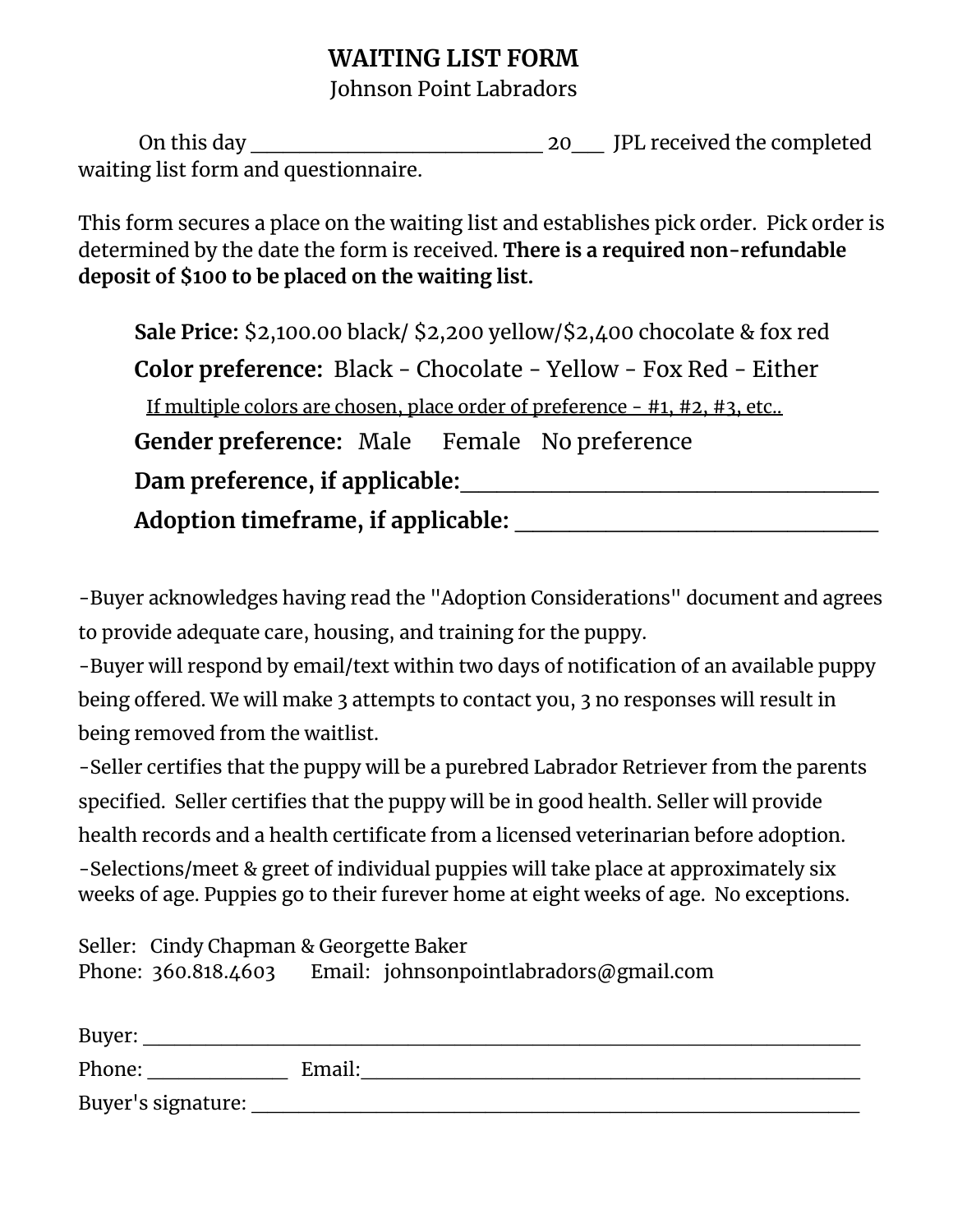# **WAITING LIST FORM**

## Johnson Point Labradors

On this day \_\_\_\_\_\_\_\_\_\_\_\_\_\_\_\_\_\_ 20\_\_ JPL received the completed waiting list form and questionnaire.

This form secures a place on the waiting list and establishes pick order. Pick order is determined by the date the form is received. **There is a required non-refundable deposit of \$100 to be placed on the waiting list.**

**Sale Price:** \$2,100.00 black/ \$2,200 yellow/\$2,400 chocolate & fox red **Color preference:** Black - Chocolate - Yellow - Fox Red - Either If multiple colors are chosen, place order of preference - #1, #2, #3, etc.. **Gender preference:** Male Female No preference **Dam preference, if applicable:**\_\_\_\_\_\_\_\_\_\_\_\_\_\_\_\_\_\_\_\_\_\_\_ **Adoption timeframe, if applicable:** \_\_\_\_\_\_\_\_\_\_\_\_\_\_\_\_\_\_\_\_

-Buyer acknowledges having read the "Adoption Considerations" document and agrees to provide adequate care, housing, and training for the puppy.

-Buyer will respond by email/text within two days of notification of an available puppy being offered. We will make 3 attempts to contact you, 3 no responses will result in being removed from the waitlist.

-Seller certifies that the puppy will be a purebred Labrador Retriever from the parents specified. Seller certifies that the puppy will be in good health. Seller will provide health records and a health certificate from a licensed veterinarian before adoption.

-Selections/meet & greet of individual puppies will take place at approximately six weeks of age. Puppies go to their furever home at eight weeks of age. No exceptions.

Seller: Cindy Chapman & Georgette Baker Phone: 360.818.4603 Email: johnsonpointlabradors@gmail.com

| Buyer:             |        |
|--------------------|--------|
| Phone:             | Email: |
| Buyer's signature: |        |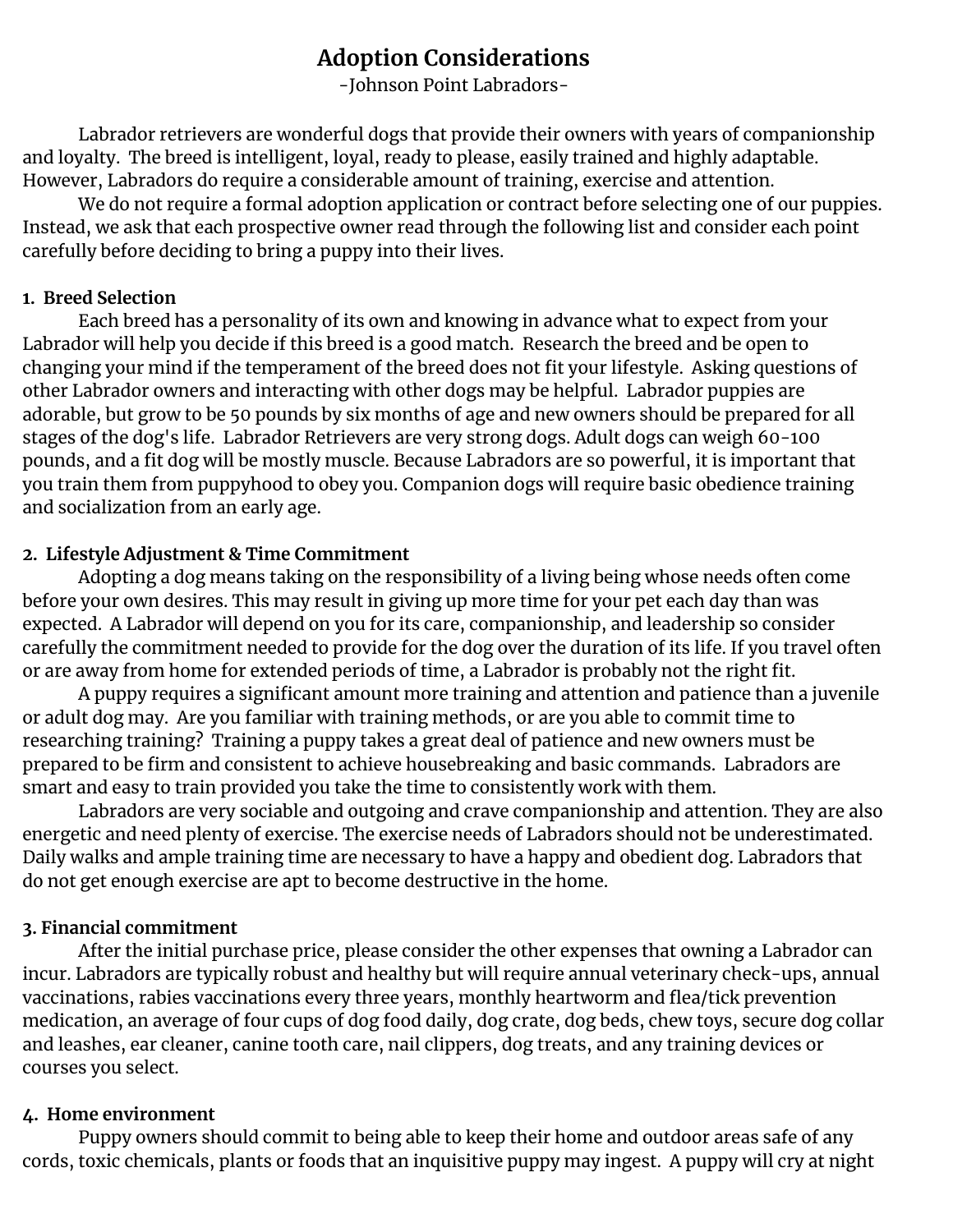# **Adoption Considerations**

-Johnson Point Labradors-

Labrador retrievers are wonderful dogs that provide their owners with years of companionship and loyalty. The breed is intelligent, loyal, ready to please, easily trained and highly adaptable. However, Labradors do require a considerable amount of training, exercise and attention.

We do not require a formal adoption application or contract before selecting one of our puppies. Instead, we ask that each prospective owner read through the following list and consider each point carefully before deciding to bring a puppy into their lives.

#### **1. Breed Selection**

Each breed has a personality of its own and knowing in advance what to expect from your Labrador will help you decide if this breed is a good match. Research the breed and be open to changing your mind if the temperament of the breed does not fit your lifestyle. Asking questions of other Labrador owners and interacting with other dogs may be helpful. Labrador puppies are adorable, but grow to be 50 pounds by six months of age and new owners should be prepared for all stages of the dog's life. Labrador Retrievers are very strong dogs. Adult dogs can weigh 60-100 pounds, and a fit dog will be mostly muscle. Because Labradors are so powerful, it is important that you train them from puppyhood to obey you. Companion dogs will require basic obedience training and socialization from an early age.

#### **2. Lifestyle Adjustment & Time Commitment**

Adopting a dog means taking on the responsibility of a living being whose needs often come before your own desires. This may result in giving up more time for your pet each day than was expected. A Labrador will depend on you for its care, companionship, and leadership so consider carefully the commitment needed to provide for the dog over the duration of its life. If you travel often or are away from home for extended periods of time, a Labrador is probably not the right fit.

A puppy requires a significant amount more training and attention and patience than a juvenile or adult dog may. Are you familiar with training methods, or are you able to commit time to researching training? Training a puppy takes a great deal of patience and new owners must be prepared to be firm and consistent to achieve housebreaking and basic commands. Labradors are smart and easy to train provided you take the time to consistently work with them.

Labradors are very sociable and outgoing and crave companionship and attention. They are also energetic and need plenty of exercise. The exercise needs of Labradors should not be underestimated. Daily walks and ample training time are necessary to have a happy and obedient dog. Labradors that do not get enough exercise are apt to become destructive in the home.

### **3. Financial commitment**

After the initial purchase price, please consider the other expenses that owning a Labrador can incur. Labradors are typically robust and healthy but will require annual veterinary check-ups, annual vaccinations, rabies vaccinations every three years, monthly heartworm and flea/tick prevention medication, an average of four cups of dog food daily, dog crate, dog beds, chew toys, secure dog collar and leashes, ear cleaner, canine tooth care, nail clippers, dog treats, and any training devices or courses you select.

#### **4. Home environment**

Puppy owners should commit to being able to keep their home and outdoor areas safe of any cords, toxic chemicals, plants or foods that an inquisitive puppy may ingest. A puppy will cry at night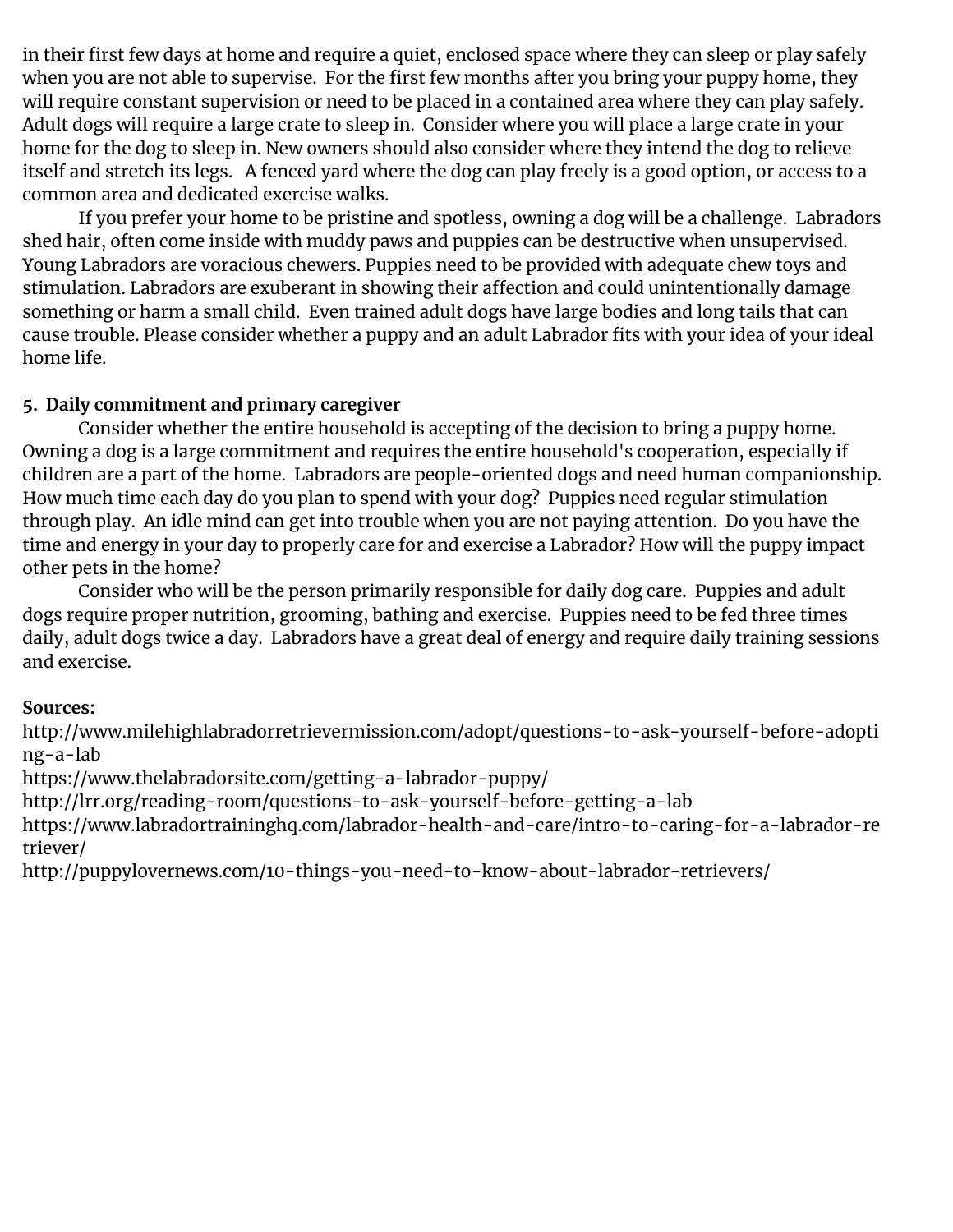in their first few days at home and require a quiet, enclosed space where they can sleep or play safely when you are not able to supervise. For the first few months after you bring your puppy home, they will require constant supervision or need to be placed in a contained area where they can play safely. Adult dogs will require a large crate to sleep in. Consider where you will place a large crate in your home for the dog to sleep in. New owners should also consider where they intend the dog to relieve itself and stretch its legs. A fenced yard where the dog can play freely is a good option, or access to a common area and dedicated exercise walks.

If you prefer your home to be pristine and spotless, owning a dog will be a challenge. Labradors shed hair, often come inside with muddy paws and puppies can be destructive when unsupervised. Young Labradors are voracious chewers. Puppies need to be provided with adequate chew toys and stimulation. Labradors are exuberant in showing their affection and could unintentionally damage something or harm a small child. Even trained adult dogs have large bodies and long tails that can cause trouble. Please consider whether a puppy and an adult Labrador fits with your idea of your ideal home life.

## **5. Daily commitment and primary caregiver**

Consider whether the entire household is accepting of the decision to bring a puppy home. Owning a dog is a large commitment and requires the entire household's cooperation, especially if children are a part of the home. Labradors are people-oriented dogs and need human companionship. How much time each day do you plan to spend with your dog? Puppies need regular stimulation through play. An idle mind can get into trouble when you are not paying attention. Do you have the time and energy in your day to properly care for and exercise a Labrador? How will the puppy impact other pets in the home?

Consider who will be the person primarily responsible for daily dog care. Puppies and adult dogs require proper nutrition, grooming, bathing and exercise. Puppies need to be fed three times daily, adult dogs twice a day. Labradors have a great deal of energy and require daily training sessions and exercise.

### **Sources:**

http://www.milehighlabradorretrievermission.com/adopt/questions-to-ask-yourself-before-adopti ng-a-lab

https://www.thelabradorsite.com/getting-a-labrador-puppy/

http://lrr.org/reading-room/questions-to-ask-yourself-before-getting-a-lab

https://www.labradortraininghq.com/labrador-health-and-care/intro-to-caring-for-a-labrador-re triever/

http://puppylovernews.com/10-things-you-need-to-know-about-labrador-retrievers/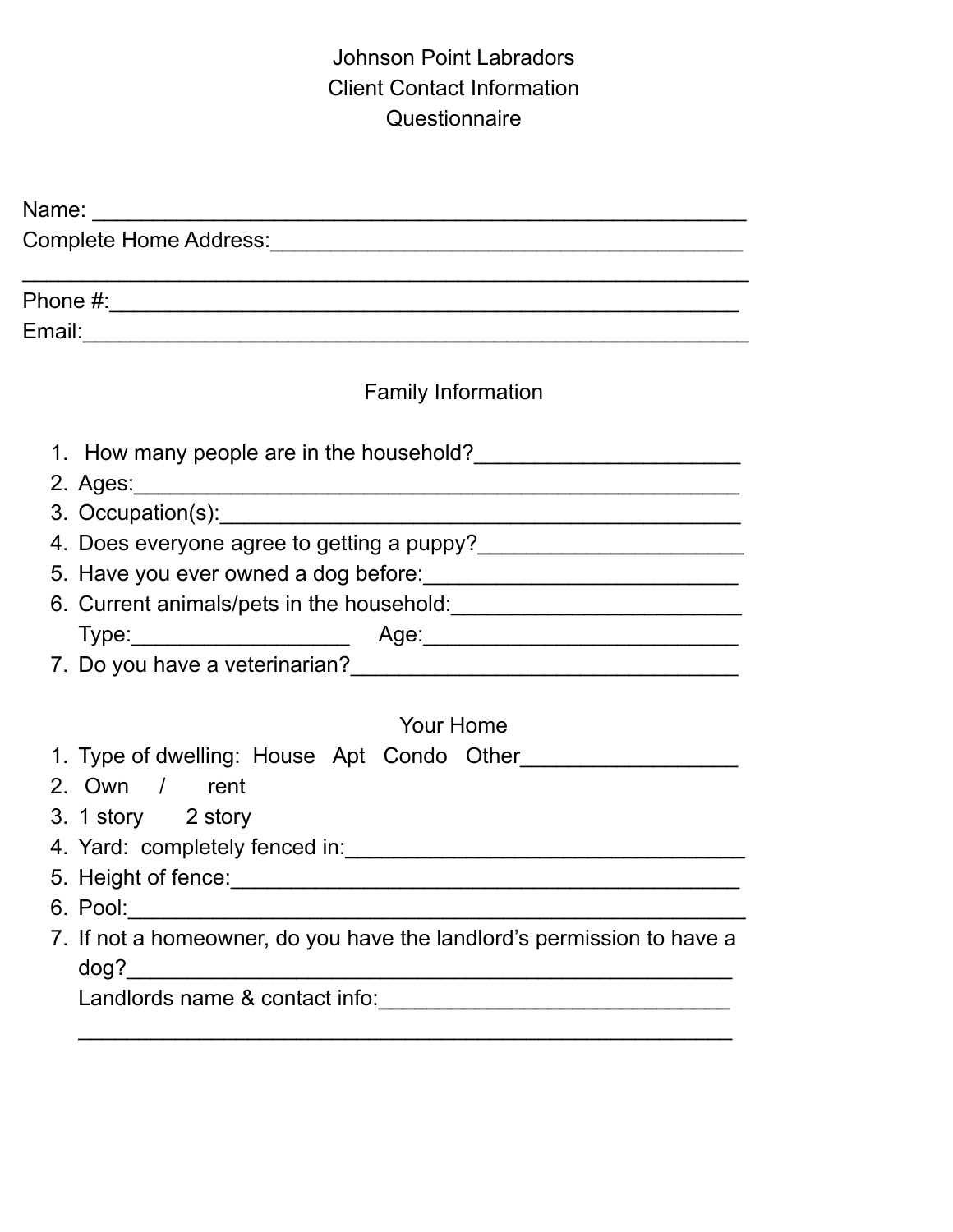# Johnson Point Labradors Client Contact Information **Questionnaire**

| <b>Family Information</b>                                                                                                                                                                                                           |
|-------------------------------------------------------------------------------------------------------------------------------------------------------------------------------------------------------------------------------------|
|                                                                                                                                                                                                                                     |
|                                                                                                                                                                                                                                     |
|                                                                                                                                                                                                                                     |
|                                                                                                                                                                                                                                     |
| 5. Have you ever owned a dog before:<br><u> and a dog before:</u>                                                                                                                                                                   |
|                                                                                                                                                                                                                                     |
| Type: Age: Age: Age: Age: Age: Age: Age: 2. Do you have a veterinarian?                                                                                                                                                             |
|                                                                                                                                                                                                                                     |
|                                                                                                                                                                                                                                     |
| <b>Your Home</b>                                                                                                                                                                                                                    |
| 1. Type of dwelling: House Apt Condo Other                                                                                                                                                                                          |
| 2. Own / rent                                                                                                                                                                                                                       |
| 3. 1 story 2 story                                                                                                                                                                                                                  |
|                                                                                                                                                                                                                                     |
| 5. Height of fence: <b>Example 2018</b> and 2019 and 2019 and 2019 and 2019 and 2019 and 2019 and 2019 and 2019 and 2019 and 2019 and 2019 and 2019 and 2019 and 2019 and 2019 and 2019 and 2019 and 2019 and 2019 and 2019 and 201 |
|                                                                                                                                                                                                                                     |
| 7. If not a homeowner, do you have the landlord's permission to have a                                                                                                                                                              |
|                                                                                                                                                                                                                                     |
|                                                                                                                                                                                                                                     |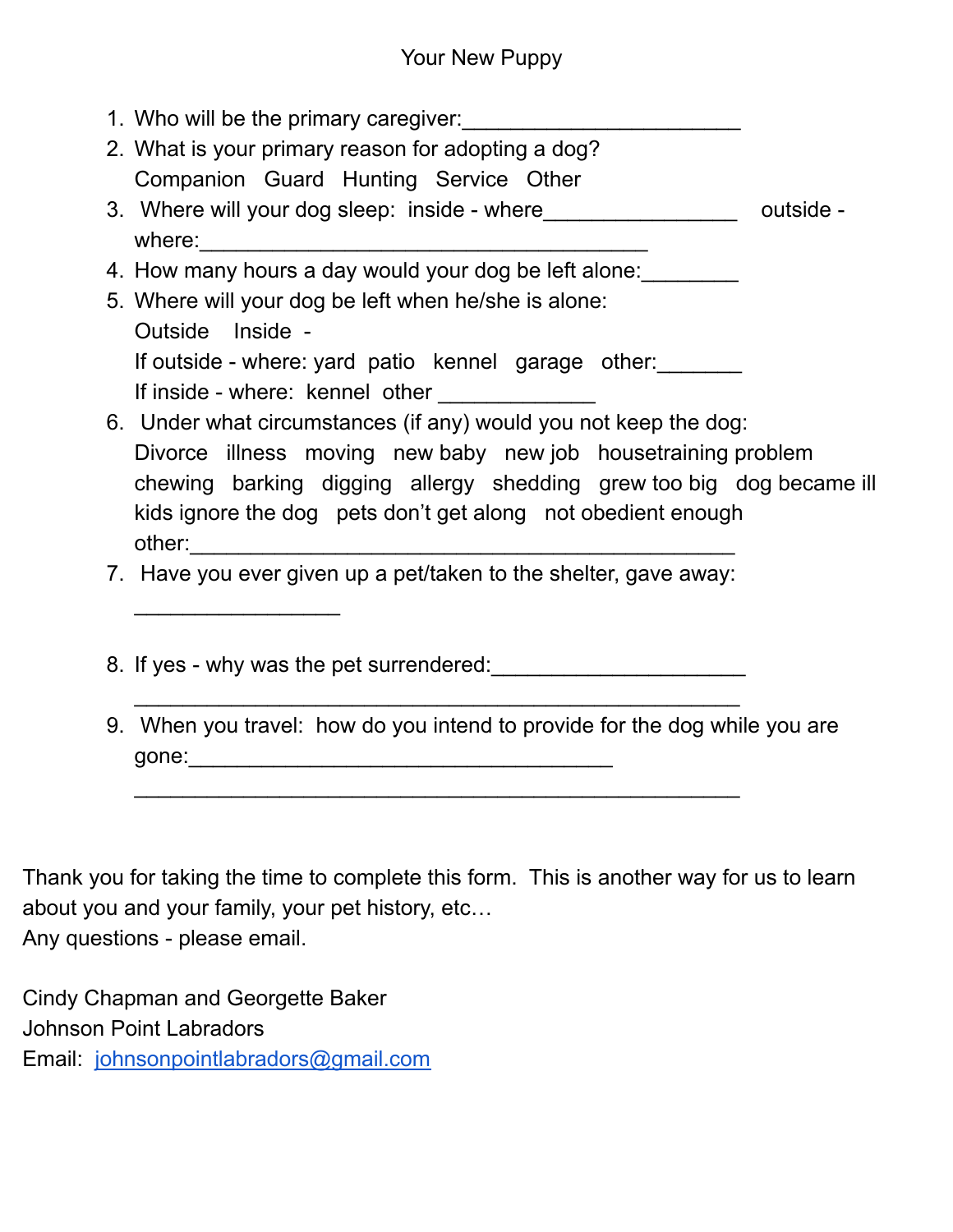- 1. Who will be the primary caregiver:
- 2. What is your primary reason for adopting a dog? Companion Guard Hunting Service Other
- 3. Where will your dog sleep: inside where\_\_\_\_\_\_\_\_\_\_\_\_\_\_\_\_\_\_\_\_\_\_ outside where:  $\sqrt{2}$
- 4. How many hours a day would your dog be left alone:
- 5. Where will your dog be left when he/she is alone: Outside Inside - If outside - where: yard patio kennel garage other: If inside - where: kennel other
- 6. Under what circumstances (if any) would you not keep the dog: Divorce illness moving new baby new job housetraining problem chewing barking digging allergy shedding grew too big dog became ill kids ignore the dog pets don't get along not obedient enough other:\_\_\_\_\_\_\_\_\_\_\_\_\_\_\_\_\_\_\_\_\_\_\_\_\_\_\_\_\_\_\_\_\_\_\_\_\_\_\_\_\_\_\_\_\_
- 7. Have you ever given up a pet/taken to the shelter, gave away:

\_\_\_\_\_\_\_\_\_\_\_\_\_\_\_\_\_\_\_\_\_\_\_\_\_\_\_\_\_\_\_\_\_\_\_\_\_\_\_\_\_\_\_\_\_\_\_\_\_\_

\_\_\_\_\_\_\_\_\_\_\_\_\_\_\_\_\_\_\_\_\_\_\_\_\_\_\_\_\_\_\_\_\_\_\_\_\_\_\_\_\_\_\_\_\_\_\_\_\_\_

- 8. If yes why was the pet surrendered:
- 9. When you travel: how do you intend to provide for the dog while you are gone:\_\_\_\_\_\_\_\_\_\_\_\_\_\_\_\_\_\_\_\_\_\_\_\_\_\_\_\_\_\_\_\_\_\_\_

Thank you for taking the time to complete this form. This is another way for us to learn about you and your family, your pet history, etc… Any questions - please email.

Cindy Chapman and Georgette Baker Johnson Point Labradors Email: [johnsonpointlabradors@gmail.com](mailto:johnsonpointlabradors@gmail.com)

 $\overline{\phantom{a}}$  . The set of the set of the set of the set of the set of the set of the set of the set of the set of the set of the set of the set of the set of the set of the set of the set of the set of the set of the set o